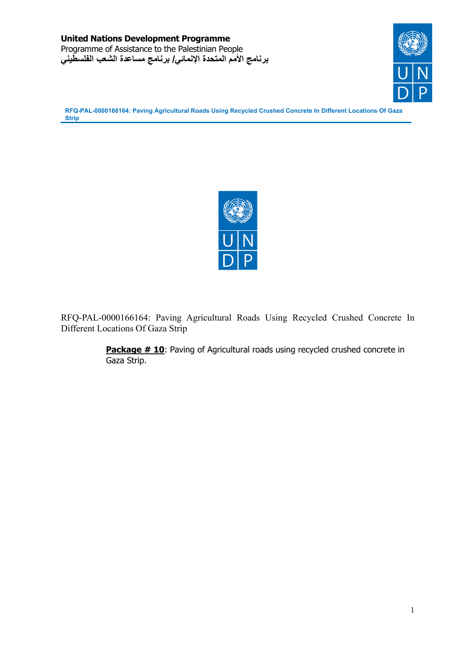



RFQ-PAL-0000166164: Paving Agricultural Roads Using Recycled Crushed Concrete In Different Locations Of Gaza Strip

> **Package # 10:** Paving of Agricultural roads using recycled crushed concrete in Gaza Strip.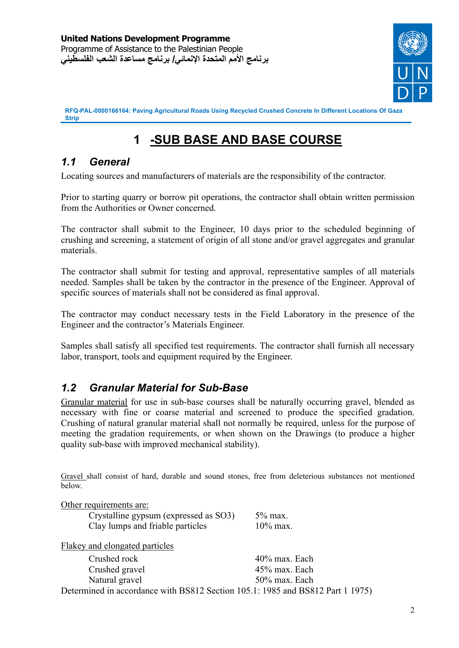

# **1 -SUB BASE AND BASE COURSE**

# *1.1 General*

Locating sources and manufacturers of materials are the responsibility of the contractor.

Prior to starting quarry or borrow pit operations, the contractor shall obtain written permission from the Authorities or Owner concerned.

The contractor shall submit to the Engineer, 10 days prior to the scheduled beginning of crushing and screening, a statement of origin of all stone and/or gravel aggregates and granular materials.

The contractor shall submit for testing and approval, representative samples of all materials needed. Samples shall be taken by the contractor in the presence of the Engineer. Approval of specific sources of materials shall not be considered as final approval.

The contractor may conduct necessary tests in the Field Laboratory in the presence of the Engineer and the contractor's Materials Engineer.

Samples shall satisfy all specified test requirements. The contractor shall furnish all necessary labor, transport, tools and equipment required by the Engineer.

# *1.2 Granular Material for Sub-Base*

Granular material for use in sub-base courses shall be naturally occurring gravel, blended as necessary with fine or coarse material and screened to produce the specified gradation. Crushing of natural granular material shall not normally be required, unless for the purpose of meeting the gradation requirements, or when shown on the Drawings (to produce a higher quality sub-base with improved mechanical stability).

Gravel shall consist of hard, durable and sound stones, free from deleterious substances not mentioned below.

| Other requirements are:                                                        |               |
|--------------------------------------------------------------------------------|---------------|
| Crystalline gypsum (expressed as SO3)                                          | $5\%$ max.    |
| Clay lumps and friable particles                                               | $10\%$ max.   |
| Flakey and elongated particles                                                 |               |
| Crushed rock                                                                   | 40% max. Each |
| Crushed gravel                                                                 | 45% max. Each |
| Natural gravel                                                                 | 50% max. Each |
| Determined in accordance with BS812 Section 105.1: 1985 and BS812 Part 1 1975) |               |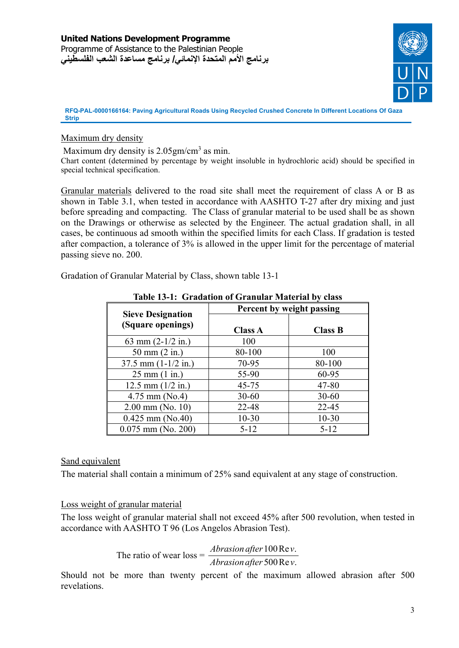

#### Maximum dry density

Maximum dry density is  $2.05$ gm/cm<sup>3</sup> as min. Chart content (determined by percentage by weight insoluble in hydrochloric acid) should be specified in special technical specification.

Granular materials delivered to the road site shall meet the requirement of class A or B as shown in Table 3.1, when tested in accordance with AASHTO T-27 after dry mixing and just before spreading and compacting. The Class of granular material to be used shall be as shown on the Drawings or otherwise as selected by the Engineer. The actual gradation shall, in all cases, be continuous ad smooth within the specified limits for each Class. If gradation is tested after compaction, a tolerance of 3% is allowed in the upper limit for the percentage of material passing sieve no. 200.

Gradation of Granular Material by Class, shown table 13-1

|                                               | Percent by weight passing |                |
|-----------------------------------------------|---------------------------|----------------|
| <b>Sieve Designation</b><br>(Square openings) | <b>Class A</b>            | <b>Class B</b> |
| 63 mm $(2-1/2$ in.)                           | 100                       |                |
| 50 mm $(2 in.)$                               | 80-100                    | 100            |
| $37.5$ mm $(1-1/2$ in.)                       | 70-95                     | 80-100         |
| $25 \text{ mm} (1 \text{ in.})$               | 55-90                     | 60-95          |
| 12.5 mm $(1/2$ in.)                           | $45 - 75$                 | $47 - 80$      |
| $4.75$ mm (No.4)                              | $30 - 60$                 | $30 - 60$      |
| $2.00$ mm (No. 10)                            | 22-48                     | $22 - 45$      |
| $0.425$ mm (No.40)                            | $10-30$                   | $10 - 30$      |
| $0.075$ mm (No. 200)                          | $5 - 12$                  | $5 - 12$       |

#### **Table 13-1: Gradation of Granular Material by class**

#### Sand equivalent

The material shall contain a minimum of 25% sand equivalent at any stage of construction.

#### Loss weight of granular material

The loss weight of granular material shall not exceed 45% after 500 revolution, when tested in accordance with AASHTO T 96 (Los Angelos Abrasion Test).

#### The ratio of wear loss =  $\frac{Abrasion\ after\ 100\,\text{Re}\nu}{4.75\,\text{meV}}$ *Abrasion after* 500 Rev 100 500  $\frac{\text{Re }v}{\text{Re }v}$ .

Should not be more than twenty percent of the maximum allowed abrasion after 500 revelations.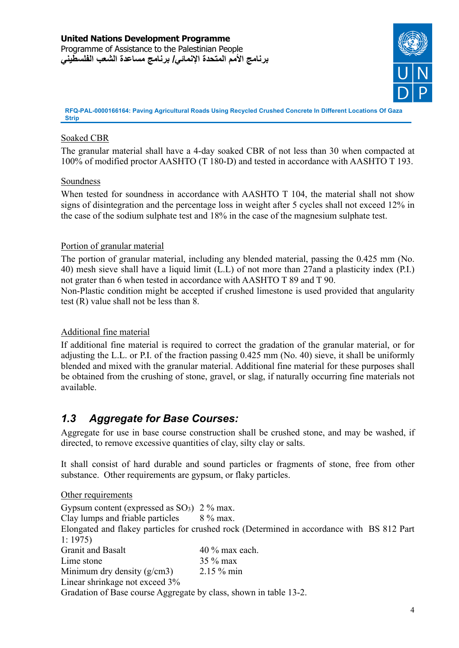

### Soaked CBR

The granular material shall have a 4-day soaked CBR of not less than 30 when compacted at 100% of modified proctor AASHTO (T 180-D) and tested in accordance with AASHTO T 193.

#### Soundness

When tested for soundness in accordance with AASHTO T 104, the material shall not show signs of disintegration and the percentage loss in weight after 5 cycles shall not exceed 12% in the case of the sodium sulphate test and 18% in the case of the magnesium sulphate test.

#### Portion of granular material

The portion of granular material, including any blended material, passing the 0.425 mm (No. 40) mesh sieve shall have a liquid limit (L.L) of not more than 27and a plasticity index (P.I.) not grater than 6 when tested in accordance with AASHTO T 89 and T 90.

Non-Plastic condition might be accepted if crushed limestone is used provided that angularity test (R) value shall not be less than 8.

#### Additional fine material

If additional fine material is required to correct the gradation of the granular material, or for adjusting the L.L. or P.I. of the fraction passing 0.425 mm (No. 40) sieve, it shall be uniformly blended and mixed with the granular material. Additional fine material for these purposes shall be obtained from the crushing of stone, gravel, or slag, if naturally occurring fine materials not available.

# *1.3 Aggregate for Base Courses:*

Aggregate for use in base course construction shall be crushed stone, and may be washed, if directed, to remove excessive quantities of clay, silty clay or salts.

It shall consist of hard durable and sound particles or fragments of stone, free from other substance. Other requirements are gypsum, or flaky particles.

#### Other requirements

Gypsum content (expressed as  $SO_3$ ) 2 % max.

Clay lumps and friable particles 8 % max.

Elongated and flakey particles for crushed rock (Determined in accordance with BS 812 Part 1: 1975)

| <b>Granit and Basalt</b>                                          | $40\%$ max each. |
|-------------------------------------------------------------------|------------------|
| Lime stone                                                        | $35\%$ max       |
| Minimum dry density $(g/cm3)$                                     | $2.15\%$ min     |
| Linear shrinkage not exceed 3%                                    |                  |
| Gradation of Base course Aggregate by class, shown in table 13-2. |                  |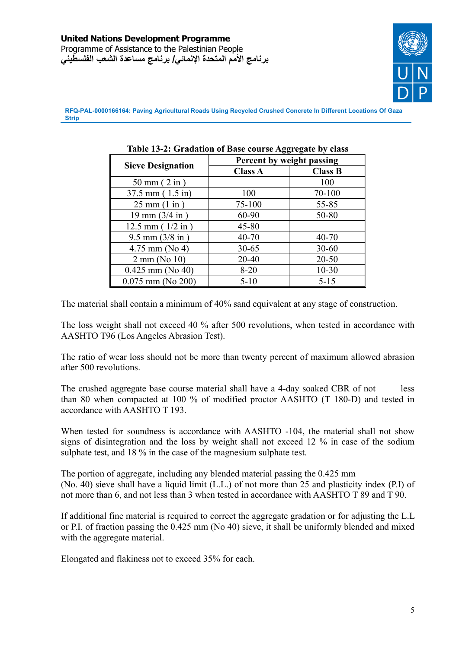

|                                    | Percent by weight passing |                |
|------------------------------------|---------------------------|----------------|
| <b>Sieve Designation</b>           | <b>Class A</b>            | <b>Class B</b> |
| $50 \text{ mm}$ ( $2 \text{ in}$ ) |                           | 100            |
| $37.5$ mm $(1.5$ in)               | 100                       | 70-100         |
| $25 \text{ mm} (1 \text{ in})$     | 75-100                    | 55-85          |
| $19 \text{ mm} (3/4 \text{ in})$   | 60-90                     | 50-80          |
| $12.5$ mm ( $1/2$ in)              | $45 - 80$                 |                |
| $9.5$ mm $(3/8$ in)                | $40 - 70$                 | $40 - 70$      |
| $4.75$ mm (No 4)                   | $30 - 65$                 | $30 - 60$      |
| $2 \text{ mm}$ (No 10)             | $20 - 40$                 | $20 - 50$      |
| $0.425$ mm (No 40)                 | $8 - 20$                  | $10 - 30$      |
| $0.075$ mm (No 200)                | $5-10$                    | $5 - 15$       |

#### **Table 13-2: Gradation of Base course Aggregate by class**

The material shall contain a minimum of 40% sand equivalent at any stage of construction.

The loss weight shall not exceed 40 % after 500 revolutions, when tested in accordance with AASHTO T96 (Los Angeles Abrasion Test).

The ratio of wear loss should not be more than twenty percent of maximum allowed abrasion after 500 revolutions.

The crushed aggregate base course material shall have a 4-day soaked CBR of not less than 80 when compacted at 100 % of modified proctor AASHTO (T 180-D) and tested in accordance with AASHTO T 193.

When tested for soundness is accordance with AASHTO -104, the material shall not show signs of disintegration and the loss by weight shall not exceed 12 % in case of the sodium sulphate test, and 18 % in the case of the magnesium sulphate test.

The portion of aggregate, including any blended material passing the 0.425 mm (No. 40) sieve shall have a liquid limit (L.L.) of not more than 25 and plasticity index (P.I) of not more than 6, and not less than 3 when tested in accordance with AASHTO T 89 and T 90.

If additional fine material is required to correct the aggregate gradation or for adjusting the L.L or P.I. of fraction passing the 0.425 mm (No 40) sieve, it shall be uniformly blended and mixed with the aggregate material.

Elongated and flakiness not to exceed 35% for each.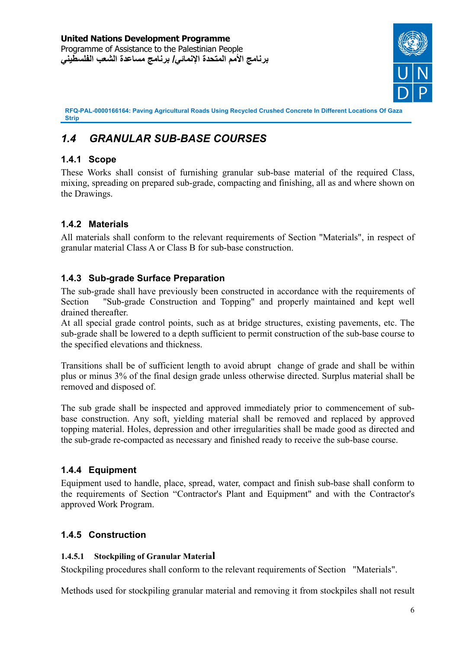

# *1.4 GRANULAR SUB-BASE COURSES*

# **1.4.1 Scope**

These Works shall consist of furnishing granular sub-base material of the required Class, mixing, spreading on prepared sub-grade, compacting and finishing, all as and where shown on the Drawings.

# **1.4.2 Materials**

All materials shall conform to the relevant requirements of Section "Materials", in respect of granular material Class A or Class B for sub-base construction.

# **1.4.3 Sub-grade Surface Preparation**

The sub-grade shall have previously been constructed in accordance with the requirements of Section "Sub-grade Construction and Topping" and properly maintained and kept well drained thereafter.

At all special grade control points, such as at bridge structures, existing pavements, etc. The sub-grade shall be lowered to a depth sufficient to permit construction of the sub-base course to the specified elevations and thickness.

Transitions shall be of sufficient length to avoid abrupt change of grade and shall be within plus or minus 3% of the final design grade unless otherwise directed. Surplus material shall be removed and disposed of.

The sub grade shall be inspected and approved immediately prior to commencement of subbase construction. Any soft, yielding material shall be removed and replaced by approved topping material. Holes, depression and other irregularities shall be made good as directed and the sub-grade re-compacted as necessary and finished ready to receive the sub-base course.

# **1.4.4 Equipment**

Equipment used to handle, place, spread, water, compact and finish sub-base shall conform to the requirements of Section "Contractor's Plant and Equipment" and with the Contractor's approved Work Program.

# **1.4.5 Construction**

#### **1.4.5.1 Stockpiling of Granular Material**

Stockpiling procedures shall conform to the relevant requirements of Section "Materials".

Methods used for stockpiling granular material and removing it from stockpiles shall not result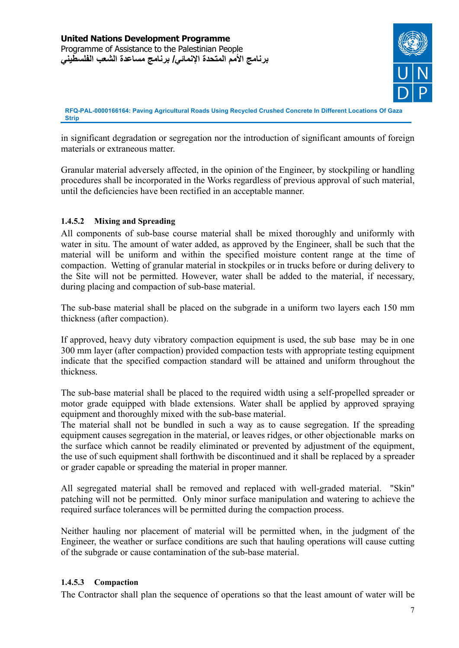

in significant degradation or segregation nor the introduction of significant amounts of foreign materials or extraneous matter.

Granular material adversely affected, in the opinion of the Engineer, by stockpiling or handling procedures shall be incorporated in the Works regardless of previous approval of such material, until the deficiencies have been rectified in an acceptable manner.

#### **1.4.5.2 Mixing and Spreading**

All components of sub-base course material shall be mixed thoroughly and uniformly with water in situ. The amount of water added, as approved by the Engineer, shall be such that the material will be uniform and within the specified moisture content range at the time of compaction. Wetting of granular material in stockpiles or in trucks before or during delivery to the Site will not be permitted. However, water shall be added to the material, if necessary, during placing and compaction of sub-base material.

The sub-base material shall be placed on the subgrade in a uniform two layers each 150 mm thickness (after compaction).

If approved, heavy duty vibratory compaction equipment is used, the sub base may be in one 300 mm layer (after compaction) provided compaction tests with appropriate testing equipment indicate that the specified compaction standard will be attained and uniform throughout the thickness.

The sub-base material shall be placed to the required width using a self-propelled spreader or motor grade equipped with blade extensions. Water shall be applied by approved spraying equipment and thoroughly mixed with the sub-base material.

The material shall not be bundled in such a way as to cause segregation. If the spreading equipment causes segregation in the material, or leaves ridges, or other objectionable marks on the surface which cannot be readily eliminated or prevented by adjustment of the equipment, the use of such equipment shall forthwith be discontinued and it shall be replaced by a spreader or grader capable or spreading the material in proper manner.

All segregated material shall be removed and replaced with well-graded material. "Skin" patching will not be permitted. Only minor surface manipulation and watering to achieve the required surface tolerances will be permitted during the compaction process.

Neither hauling nor placement of material will be permitted when, in the judgment of the Engineer, the weather or surface conditions are such that hauling operations will cause cutting of the subgrade or cause contamination of the sub-base material.

#### **1.4.5.3 Compaction**

The Contractor shall plan the sequence of operations so that the least amount of water will be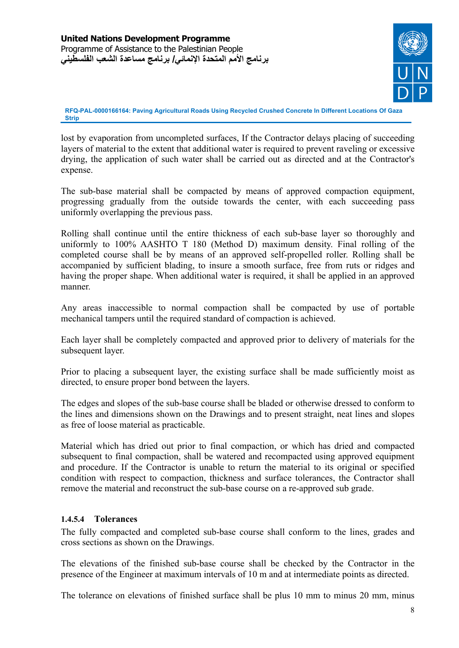

lost by evaporation from uncompleted surfaces, If the Contractor delays placing of succeeding layers of material to the extent that additional water is required to prevent raveling or excessive drying, the application of such water shall be carried out as directed and at the Contractor's expense.

The sub-base material shall be compacted by means of approved compaction equipment, progressing gradually from the outside towards the center, with each succeeding pass uniformly overlapping the previous pass.

Rolling shall continue until the entire thickness of each sub-base layer so thoroughly and uniformly to 100% AASHTO T 180 (Method D) maximum density. Final rolling of the completed course shall be by means of an approved self-propelled roller. Rolling shall be accompanied by sufficient blading, to insure a smooth surface, free from ruts or ridges and having the proper shape. When additional water is required, it shall be applied in an approved manner.

Any areas inaccessible to normal compaction shall be compacted by use of portable mechanical tampers until the required standard of compaction is achieved.

Each layer shall be completely compacted and approved prior to delivery of materials for the subsequent layer.

Prior to placing a subsequent layer, the existing surface shall be made sufficiently moist as directed, to ensure proper bond between the layers.

The edges and slopes of the sub-base course shall be bladed or otherwise dressed to conform to the lines and dimensions shown on the Drawings and to present straight, neat lines and slopes as free of loose material as practicable.

Material which has dried out prior to final compaction, or which has dried and compacted subsequent to final compaction, shall be watered and recompacted using approved equipment and procedure. If the Contractor is unable to return the material to its original or specified condition with respect to compaction, thickness and surface tolerances, the Contractor shall remove the material and reconstruct the sub-base course on a re-approved sub grade.

#### **1.4.5.4 Tolerances**

The fully compacted and completed sub-base course shall conform to the lines, grades and cross sections as shown on the Drawings.

The elevations of the finished sub-base course shall be checked by the Contractor in the presence of the Engineer at maximum intervals of 10 m and at intermediate points as directed.

The tolerance on elevations of finished surface shall be plus 10 mm to minus 20 mm, minus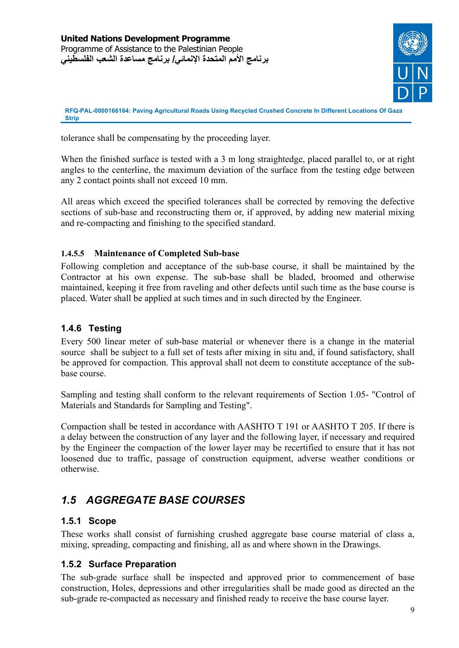

tolerance shall be compensating by the proceeding layer.

When the finished surface is tested with a 3 m long straightedge, placed parallel to, or at right angles to the centerline, the maximum deviation of the surface from the testing edge between any 2 contact points shall not exceed 10 mm.

All areas which exceed the specified tolerances shall be corrected by removing the defective sections of sub-base and reconstructing them or, if approved, by adding new material mixing and re-compacting and finishing to the specified standard.

## **1.4.5.5 Maintenance of Completed Sub-base**

Following completion and acceptance of the sub-base course, it shall be maintained by the Contractor at his own expense. The sub-base shall be bladed, broomed and otherwise maintained, keeping it free from raveling and other defects until such time as the base course is placed. Water shall be applied at such times and in such directed by the Engineer.

# **1.4.6 Testing**

Every 500 linear meter of sub-base material or whenever there is a change in the material source shall be subject to a full set of tests after mixing in situ and, if found satisfactory, shall be approved for compaction. This approval shall not deem to constitute acceptance of the subbase course.

Sampling and testing shall conform to the relevant requirements of Section 1.05- "Control of Materials and Standards for Sampling and Testing".

Compaction shall be tested in accordance with AASHTO T 191 or AASHTO T 205. If there is a delay between the construction of any layer and the following layer, if necessary and required by the Engineer the compaction of the lower layer may be recertified to ensure that it has not loosened due to traffic, passage of construction equipment, adverse weather conditions or otherwise.

# *1.5 AGGREGATE BASE COURSES*

# **1.5.1 Scope**

These works shall consist of furnishing crushed aggregate base course material of class a, mixing, spreading, compacting and finishing, all as and where shown in the Drawings.

# **1.5.2 Surface Preparation**

The sub-grade surface shall be inspected and approved prior to commencement of base construction, Holes, depressions and other irregularities shall be made good as directed an the sub-grade re-compacted as necessary and finished ready to receive the base course layer.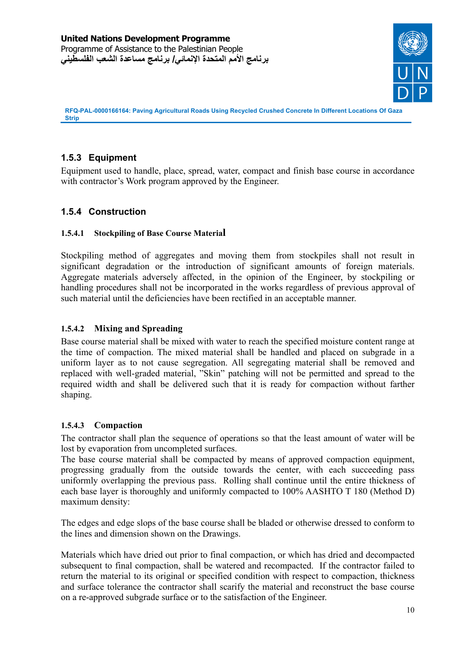

# **1.5.3 Equipment**

Equipment used to handle, place, spread, water, compact and finish base course in accordance with contractor's Work program approved by the Engineer.

# **1.5.4 Construction**

#### **1.5.4.1 Stockpiling of Base Course Material**

Stockpiling method of aggregates and moving them from stockpiles shall not result in significant degradation or the introduction of significant amounts of foreign materials. Aggregate materials adversely affected, in the opinion of the Engineer, by stockpiling or handling procedures shall not be incorporated in the works regardless of previous approval of such material until the deficiencies have been rectified in an acceptable manner.

#### **1.5.4.2 Mixing and Spreading**

Base course material shall be mixed with water to reach the specified moisture content range at the time of compaction. The mixed material shall be handled and placed on subgrade in a uniform layer as to not cause segregation. All segregating material shall be removed and replaced with well-graded material, "Skin" patching will not be permitted and spread to the required width and shall be delivered such that it is ready for compaction without farther shaping.

#### **1.5.4.3 Compaction**

The contractor shall plan the sequence of operations so that the least amount of water will be lost by evaporation from uncompleted surfaces.

The base course material shall be compacted by means of approved compaction equipment, progressing gradually from the outside towards the center, with each succeeding pass uniformly overlapping the previous pass. Rolling shall continue until the entire thickness of each base layer is thoroughly and uniformly compacted to 100% AASHTO T 180 (Method D) maximum density:

The edges and edge slops of the base course shall be bladed or otherwise dressed to conform to the lines and dimension shown on the Drawings.

Materials which have dried out prior to final compaction, or which has dried and decompacted subsequent to final compaction, shall be watered and recompacted. If the contractor failed to return the material to its original or specified condition with respect to compaction, thickness and surface tolerance the contractor shall scarify the material and reconstruct the base course on a re-approved subgrade surface or to the satisfaction of the Engineer.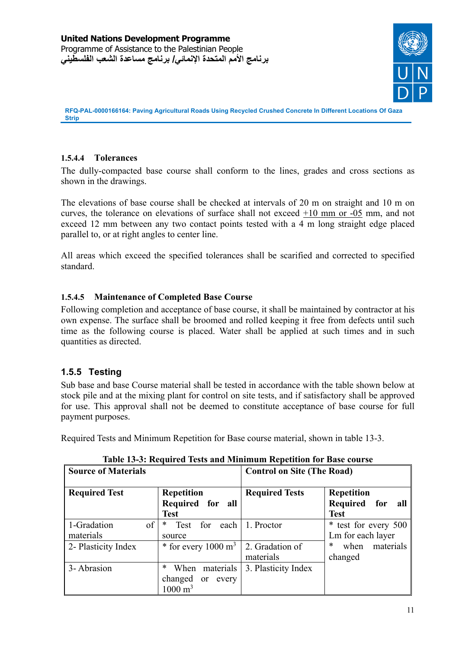

## **1.5.4.4 Tolerances**

The dully-compacted base course shall conform to the lines, grades and cross sections as shown in the drawings.

The elevations of base course shall be checked at intervals of 20 m on straight and 10 m on curves, the tolerance on elevations of surface shall not exceed  $+10$  mm or  $-05$  mm, and not exceed 12 mm between any two contact points tested with a 4 m long straight edge placed parallel to, or at right angles to center line.

All areas which exceed the specified tolerances shall be scarified and corrected to specified standard.

## **1.5.4.5 Maintenance of Completed Base Course**

Following completion and acceptance of base course, it shall be maintained by contractor at his own expense. The surface shall be broomed and rolled keeping it free from defects until such time as the following course is placed. Water shall be applied at such times and in such quantities as directed.

# **1.5.5 Testing**

Sub base and base Course material shall be tested in accordance with the table shown below at stock pile and at the mixing plant for control on site tests, and if satisfactory shall be approved for use. This approval shall not be deemed to constitute acceptance of base course for full payment purposes.

Required Tests and Minimum Repetition for Base course material, shown in table 13-3.

| <b>Source of Materials</b>     |                                                                                   | <b>Control on Site (The Road)</b> |                                                         |
|--------------------------------|-----------------------------------------------------------------------------------|-----------------------------------|---------------------------------------------------------|
| <b>Required Test</b>           | Repetition<br>Required for<br>all<br><b>Test</b>                                  | <b>Required Tests</b>             | <b>Repetition</b><br>Required for<br>all<br><b>Test</b> |
| of<br>1-Gradation<br>materials | each<br>for<br>∗<br>Test<br>source                                                | 1. Proctor                        | * test for every 500<br>Lm for each layer               |
| 2- Plasticity Index            | $*$ for every 1000 m <sup>3</sup>                                                 | 2. Gradation of<br>materials      | *<br>materials<br>when<br>changed                       |
| 3-Abrasion                     | *<br>materials<br>When<br>changed<br>every<br><sub>or</sub><br>$1000 \text{ m}^3$ | 3. Plasticity Index               |                                                         |

**Table 13-3: Required Tests and Minimum Repetition for Base course**